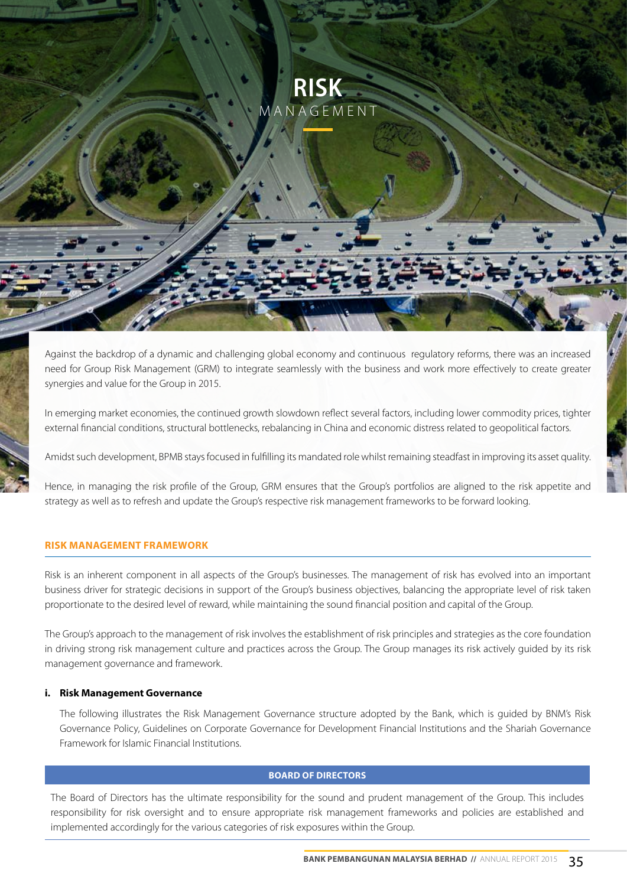

Against the backdrop of a dynamic and challenging global economy and continuous regulatory reforms, there was an increased need for Group Risk Management (GRM) to integrate seamlessly with the business and work more effectively to create greater synergies and value for the Group in 2015.

In emerging market economies, the continued growth slowdown reflect several factors, including lower commodity prices, tighter external financial conditions, structural bottlenecks, rebalancing in China and economic distress related to geopolitical factors.

Amidst such development, BPMB stays focused in fulfilling its mandated role whilst remaining steadfast in improving its asset quality.

Hence, in managing the risk profile of the Group, GRM ensures that the Group's portfolios are aligned to the risk appetite and strategy as well as to refresh and update the Group's respective risk management frameworks to be forward looking.

## **RISK MANAGEMENT FRAMEWORK**

Risk is an inherent component in all aspects of the Group's businesses. The management of risk has evolved into an important business driver for strategic decisions in support of the Group's business objectives, balancing the appropriate level of risk taken proportionate to the desired level of reward, while maintaining the sound financial position and capital of the Group.

The Group's approach to the management of risk involves the establishment of risk principles and strategies as the core foundation in driving strong risk management culture and practices across the Group. The Group manages its risk actively guided by its risk management governance and framework.

#### **i. Risk Management Governance**

The following illustrates the Risk Management Governance structure adopted by the Bank, which is guided by BNM's Risk Governance Policy, Guidelines on Corporate Governance for Development Financial Institutions and the Shariah Governance Framework for Islamic Financial Institutions.

## **Board of Directors**

The Board of Directors has the ultimate responsibility for the sound and prudent management of the Group. This includes responsibility for risk oversight and to ensure appropriate risk management frameworks and policies are established and implemented accordingly for the various categories of risk exposures within the Group.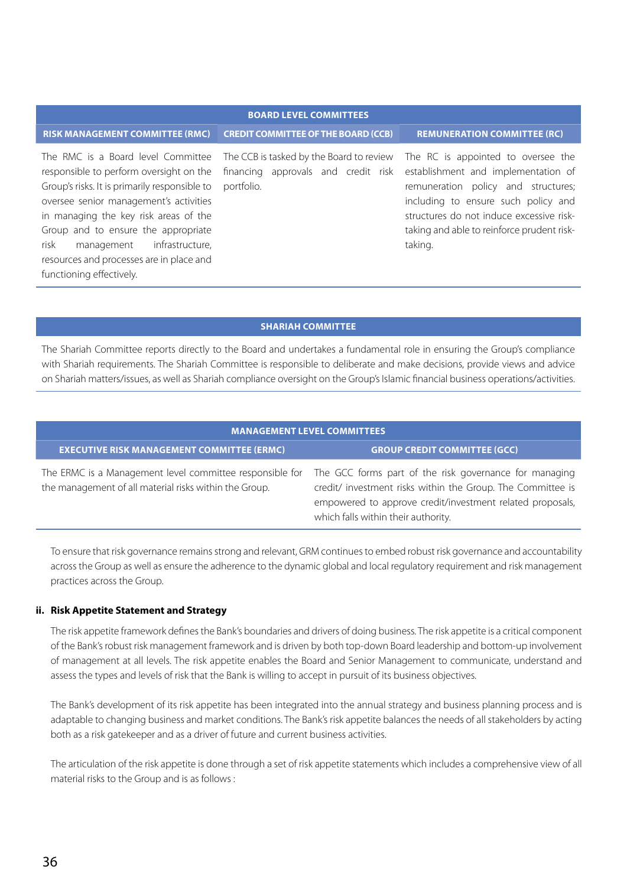# **Board Level Committees**

**Risk Management Committee (RMC) Credit Committee ofthe Board (CCB) Remuneration Committee (RC)**

The RMC is a Board level Committee responsible to perform oversight on the Group's risks. It is primarily responsible to oversee senior management's activities in managing the key risk areas of the Group and to ensure the appropriate risk management infrastructure, resources and processes are in place and functioning effectively.

The CCB is tasked by the Board to review financing approvals and credit risk portfolio.

The RC is appointed to oversee the establishment and implementation of remuneration policy and structures; including to ensure such policy and structures do not induce excessive risktaking and able to reinforce prudent risktaking.

## **Shariah Committee**

The Shariah Committee reports directly to the Board and undertakes a fundamental role in ensuring the Group's compliance with Shariah requirements. The Shariah Committee is responsible to deliberate and make decisions, provide views and advice on Shariah matters/issues, as well as Shariah compliance oversight on the Group's Islamic financial business operations/activities.

| <b>MANAGEMENT LEVEL COMMITTEES</b>                                                                                 |                                                                                                                                                                                                                           |  |  |
|--------------------------------------------------------------------------------------------------------------------|---------------------------------------------------------------------------------------------------------------------------------------------------------------------------------------------------------------------------|--|--|
| <b>EXECUTIVE RISK MANAGEMENT COMMITTEE (ERMC)</b>                                                                  | <b>GROUP CREDIT COMMITTEE (GCC)</b>                                                                                                                                                                                       |  |  |
| The ERMC is a Management level committee responsible for<br>the management of all material risks within the Group. | The GCC forms part of the risk governance for managing<br>credit/ investment risks within the Group. The Committee is<br>empowered to approve credit/investment related proposals,<br>which falls within their authority. |  |  |

To ensure that risk governance remains strong and relevant, GRM continues to embed robust risk governance and accountability across the Group as well as ensure the adherence to the dynamic global and local regulatory requirement and risk management practices across the Group.

#### **ii. Risk Appetite Statement and Strategy**

The risk appetite framework defines the Bank's boundaries and drivers of doing business. The risk appetite is a critical component of the Bank's robust risk management framework and is driven by both top-down Board leadership and bottom-up involvement of management at all levels. The risk appetite enables the Board and Senior Management to communicate, understand and assess the types and levels of risk that the Bank is willing to accept in pursuit of its business objectives.

The Bank's development of its risk appetite has been integrated into the annual strategy and business planning process and is adaptable to changing business and market conditions. The Bank's risk appetite balances the needs of all stakeholders by acting both as a risk gatekeeper and as a driver of future and current business activities.

The articulation of the risk appetite is done through a set of risk appetite statements which includes a comprehensive view of all material risks to the Group and is as follows :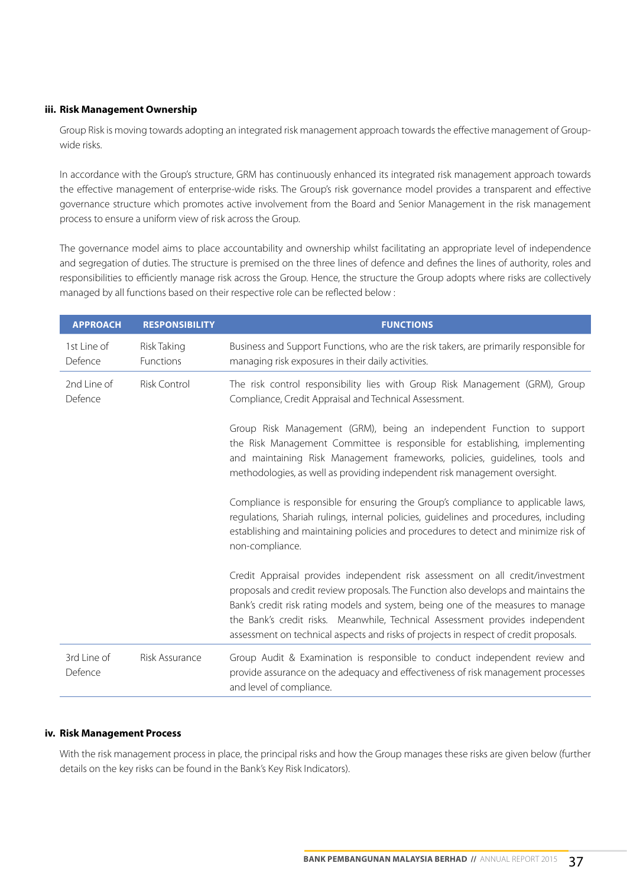## **iii. Risk Management Ownership**

Group Risk is moving towards adopting an integrated risk management approach towards the effective management of Groupwide risks.

In accordance with the Group's structure, GRM has continuously enhanced its integrated risk management approach towards the effective management of enterprise-wide risks. The Group's risk governance model provides a transparent and effective governance structure which promotes active involvement from the Board and Senior Management in the risk management process to ensure a uniform view of risk across the Group.

The governance model aims to place accountability and ownership whilst facilitating an appropriate level of independence and segregation of duties. The structure is premised on the three lines of defence and defines the lines of authority, roles and responsibilities to efficiently manage risk across the Group. Hence, the structure the Group adopts where risks are collectively managed by all functions based on their respective role can be reflected below :

| <b>APPROACH</b>        | <b>RESPONSIBILITY</b>           | <b>FUNCTIONS</b>                                                                                                                                                                                                                                                                                                                                                                                                                    |  |
|------------------------|---------------------------------|-------------------------------------------------------------------------------------------------------------------------------------------------------------------------------------------------------------------------------------------------------------------------------------------------------------------------------------------------------------------------------------------------------------------------------------|--|
| 1st Line of<br>Defence | Risk Taking<br><b>Functions</b> | Business and Support Functions, who are the risk takers, are primarily responsible for<br>managing risk exposures in their daily activities.                                                                                                                                                                                                                                                                                        |  |
| 2nd Line of<br>Defence | Risk Control                    | The risk control responsibility lies with Group Risk Management (GRM), Group<br>Compliance, Credit Appraisal and Technical Assessment.                                                                                                                                                                                                                                                                                              |  |
|                        |                                 | Group Risk Management (GRM), being an independent Function to support<br>the Risk Management Committee is responsible for establishing, implementing<br>and maintaining Risk Management frameworks, policies, guidelines, tools and<br>methodologies, as well as providing independent risk management oversight.                                                                                                                   |  |
|                        |                                 | Compliance is responsible for ensuring the Group's compliance to applicable laws,<br>regulations, Shariah rulings, internal policies, guidelines and procedures, including<br>establishing and maintaining policies and procedures to detect and minimize risk of<br>non-compliance.                                                                                                                                                |  |
|                        |                                 | Credit Appraisal provides independent risk assessment on all credit/investment<br>proposals and credit review proposals. The Function also develops and maintains the<br>Bank's credit risk rating models and system, being one of the measures to manage<br>the Bank's credit risks. Meanwhile, Technical Assessment provides independent<br>assessment on technical aspects and risks of projects in respect of credit proposals. |  |
| 3rd Line of<br>Defence | Risk Assurance                  | Group Audit & Examination is responsible to conduct independent review and<br>provide assurance on the adequacy and effectiveness of risk management processes<br>and level of compliance.                                                                                                                                                                                                                                          |  |

## **iv. Risk Management Process**

With the risk management process in place, the principal risks and how the Group manages these risks are given below (further details on the key risks can be found in the Bank's Key Risk Indicators).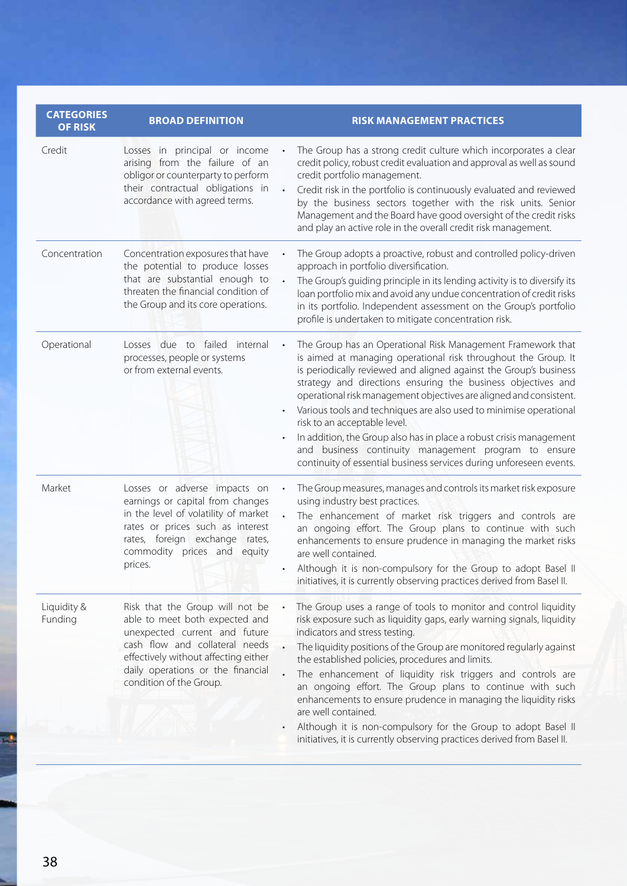| <b>CATEGORIES</b><br><b>OF RISK</b> | <b>BROAD DEFINITION</b>                                                                                                                                                                                                                      | <b>RISK MANAGEMENT PRACTICES</b>                                                                                                                                                                                                                                                                                                                                                                                                                                                                                                                                                                                                                                          |
|-------------------------------------|----------------------------------------------------------------------------------------------------------------------------------------------------------------------------------------------------------------------------------------------|---------------------------------------------------------------------------------------------------------------------------------------------------------------------------------------------------------------------------------------------------------------------------------------------------------------------------------------------------------------------------------------------------------------------------------------------------------------------------------------------------------------------------------------------------------------------------------------------------------------------------------------------------------------------------|
| Credit                              | Losses in principal or income<br>arising from the failure of an<br>obligor or counterparty to perform<br>their contractual obligations in<br>accordance with agreed terms.                                                                   | The Group has a strong credit culture which incorporates a clear<br>credit policy, robust credit evaluation and approval as well as sound<br>credit portfolio management.<br>Credit risk in the portfolio is continuously evaluated and reviewed<br>by the business sectors together with the risk units. Senior<br>Management and the Board have good oversight of the credit risks<br>and play an active role in the overall credit risk management.                                                                                                                                                                                                                    |
| Concentration                       | Concentration exposures that have<br>the potential to produce losses<br>that are substantial enough to<br>threaten the financial condition of<br>the Group and its core operations.                                                          | The Group adopts a proactive, robust and controlled policy-driven<br>approach in portfolio diversification.<br>The Group's guiding principle in its lending activity is to diversify its<br>loan portfolio mix and avoid any undue concentration of credit risks<br>in its portfolio. Independent assessment on the Group's portfolio<br>profile is undertaken to mitigate concentration risk.                                                                                                                                                                                                                                                                            |
| Operational                         | Losses due to failed internal<br>processes, people or systems<br>or from external events.                                                                                                                                                    | The Group has an Operational Risk Management Framework that<br>is aimed at managing operational risk throughout the Group. It<br>is periodically reviewed and aligned against the Group's business<br>strategy and directions ensuring the business objectives and<br>operational risk management objectives are aligned and consistent.<br>Various tools and techniques are also used to minimise operational<br>risk to an acceptable level.<br>In addition, the Group also has in place a robust crisis management<br>and business continuity management program to ensure<br>continuity of essential business services during unforeseen events.                      |
| Market                              | Losses or adverse impacts on<br>earnings or capital from changes<br>in the level of volatility of market<br>rates or prices such as interest<br>rates, foreign exchange rates,<br>commodity prices and<br>equity<br>prices.                  | The Group measures, manages and controls its market risk exposure<br>using industry best practices.<br>The enhancement of market risk triggers and controls are<br>$\bullet$<br>an ongoing effort. The Group plans to continue with such<br>enhancements to ensure prudence in managing the market risks<br>are well contained.<br>Although it is non-compulsory for the Group to adopt Basel II<br>initiatives, it is currently observing practices derived from Basel II.                                                                                                                                                                                               |
| Liquidity &<br>Funding              | Risk that the Group will not be<br>able to meet both expected and<br>unexpected current and future<br>cash flow and collateral needs<br>effectively without affecting either<br>daily operations or the financial<br>condition of the Group. | The Group uses a range of tools to monitor and control liquidity<br>risk exposure such as liquidity gaps, early warning signals, liquidity<br>indicators and stress testing.<br>The liquidity positions of the Group are monitored regularly against<br>the established policies, procedures and limits.<br>The enhancement of liquidity risk triggers and controls are<br>an ongoing effort. The Group plans to continue with such<br>enhancements to ensure prudence in managing the liquidity risks<br>are well contained.<br>Although it is non-compulsory for the Group to adopt Basel II<br>initiatives, it is currently observing practices derived from Basel II. |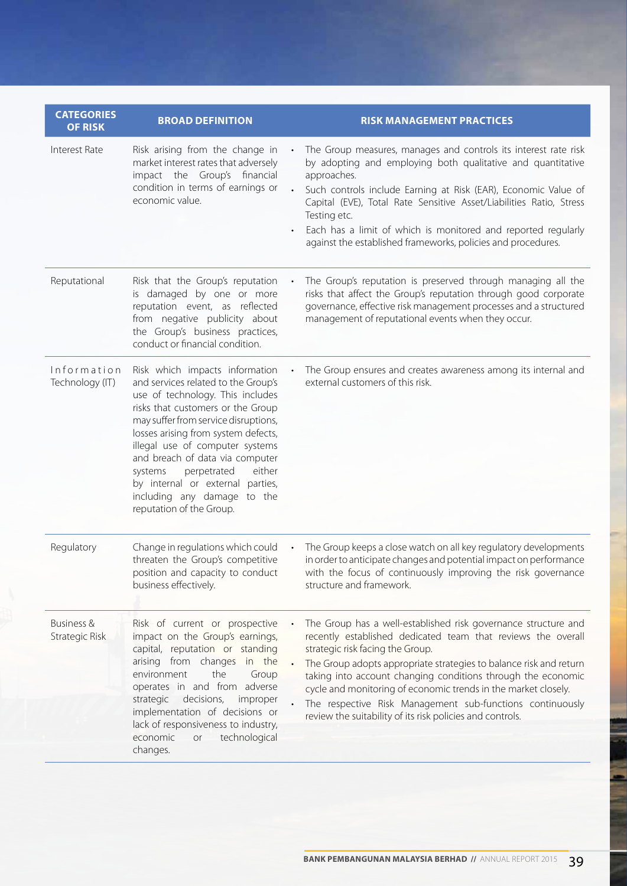| <b>CATEGORIES</b><br><b>OF RISK</b> | <b>BROAD DEFINITION</b>                                                                                                                                                                                                                                                                                                                                                                                                                | <b>RISK MANAGEMENT PRACTICES</b>                                                                                                                                                                                                                                                                                                                                                                                                                                                                     |
|-------------------------------------|----------------------------------------------------------------------------------------------------------------------------------------------------------------------------------------------------------------------------------------------------------------------------------------------------------------------------------------------------------------------------------------------------------------------------------------|------------------------------------------------------------------------------------------------------------------------------------------------------------------------------------------------------------------------------------------------------------------------------------------------------------------------------------------------------------------------------------------------------------------------------------------------------------------------------------------------------|
| Interest Rate                       | Risk arising from the change in<br>market interest rates that adversely<br>impact the Group's financial<br>condition in terms of earnings or<br>economic value.                                                                                                                                                                                                                                                                        | The Group measures, manages and controls its interest rate risk<br>by adopting and employing both qualitative and quantitative<br>approaches.<br>Such controls include Earning at Risk (EAR), Economic Value of<br>Capital (EVE), Total Rate Sensitive Asset/Liabilities Ratio, Stress<br>Testing etc.<br>Each has a limit of which is monitored and reported regularly<br>against the established frameworks, policies and procedures.                                                              |
| Reputational                        | Risk that the Group's reputation<br>is damaged by one or more<br>reputation event, as reflected<br>from negative publicity about<br>the Group's business practices,<br>conduct or financial condition.                                                                                                                                                                                                                                 | The Group's reputation is preserved through managing all the<br>risks that affect the Group's reputation through good corporate<br>governance, effective risk management processes and a structured<br>management of reputational events when they occur.                                                                                                                                                                                                                                            |
| Information<br>Technology (IT)      | Risk which impacts information<br>and services related to the Group's<br>use of technology. This includes<br>risks that customers or the Group<br>may suffer from service disruptions,<br>losses arising from system defects,<br>illegal use of computer systems<br>and breach of data via computer<br>perpetrated<br>either<br>systems<br>by internal or external parties,<br>including any damage to the<br>reputation of the Group. | The Group ensures and creates awareness among its internal and<br>external customers of this risk.                                                                                                                                                                                                                                                                                                                                                                                                   |
| Regulatory                          | Change in regulations which could<br>threaten the Group's competitive<br>position and capacity to conduct<br>business effectively.                                                                                                                                                                                                                                                                                                     | The Group keeps a close watch on all key regulatory developments<br>in order to anticipate changes and potential impact on performance<br>with the focus of continuously improving the risk governance<br>structure and framework.                                                                                                                                                                                                                                                                   |
| Business &<br>Strategic Risk        | Risk of current or prospective<br>impact on the Group's earnings,<br>capital, reputation or standing<br>arising from changes in the<br>the<br>environment<br>Group<br>operates in and from adverse<br>strategic<br>decisions,<br>improper<br>implementation of decisions or<br>lack of responsiveness to industry,<br>economic<br>technological<br>or<br>changes.                                                                      | The Group has a well-established risk governance structure and<br>recently established dedicated team that reviews the overall<br>strategic risk facing the Group.<br>The Group adopts appropriate strategies to balance risk and return<br>taking into account changing conditions through the economic<br>cycle and monitoring of economic trends in the market closely.<br>The respective Risk Management sub-functions continuously<br>review the suitability of its risk policies and controls. |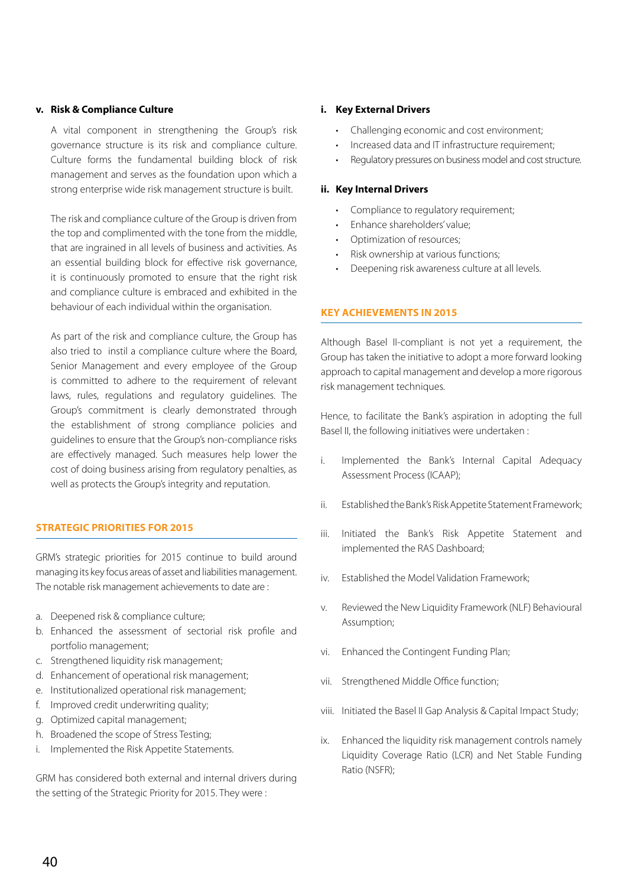## **v. Risk & Compliance Culture**

A vital component in strengthening the Group's risk governance structure is its risk and compliance culture. Culture forms the fundamental building block of risk management and serves as the foundation upon which a strong enterprise wide risk management structure is built.

The risk and compliance culture of the Group is driven from the top and complimented with the tone from the middle, that are ingrained in all levels of business and activities. As an essential building block for effective risk governance, it is continuously promoted to ensure that the right risk and compliance culture is embraced and exhibited in the behaviour of each individual within the organisation.

As part of the risk and compliance culture, the Group has also tried to instil a compliance culture where the Board, Senior Management and every employee of the Group is committed to adhere to the requirement of relevant laws, rules, regulations and regulatory guidelines. The Group's commitment is clearly demonstrated through the establishment of strong compliance policies and guidelines to ensure that the Group's non-compliance risks are effectively managed. Such measures help lower the cost of doing business arising from regulatory penalties, as well as protects the Group's integrity and reputation.

## **STRATEGIC PRIORITIES FOR 2015**

GRM's strategic priorities for 2015 continue to build around managing its key focus areas of asset and liabilities management. The notable risk management achievements to date are :

- a. Deepened risk & compliance culture;
- b. Enhanced the assessment of sectorial risk profile and portfolio management;
- c. Strengthened liquidity risk management;
- d. Enhancement of operational risk management;
- e. Institutionalized operational risk management;
- f. Improved credit underwriting quality;
- g. Optimized capital management;
- h. Broadened the scope of Stress Testing;
- i. Implemented the Risk Appetite Statements.

GRM has considered both external and internal drivers during the setting of the Strategic Priority for 2015. They were :

#### **i. Key External Drivers**

- Challenging economic and cost environment;
- Increased data and IT infrastructure requirement;
- Regulatory pressures on business model and cost structure.

## **ii. Key Internal Drivers**

- Compliance to requiatory requirement:
- Enhance shareholders' value;
- Optimization of resources:
- Risk ownership at various functions:
- Deepening risk awareness culture at all levels.

#### **KEY ACHIEVEMENTS IN 2015**

Although Basel II-compliant is not yet a requirement, the Group has taken the initiative to adopt a more forward looking approach to capital management and develop a more rigorous risk management techniques.

Hence, to facilitate the Bank's aspiration in adopting the full Basel II, the following initiatives were undertaken :

- i. Implemented the Bank's Internal Capital Adequacy Assessment Process (ICAAP);
- ii. Established the Bank's Risk Appetite Statement Framework;
- iii. Initiated the Bank's Risk Appetite Statement and implemented the RAS Dashboard;
- iv. Established the Model Validation Framework;
- v. Reviewed the New Liquidity Framework (NLF) Behavioural Assumption;
- vi. Enhanced the Contingent Funding Plan;
- vii. Strengthened Middle Office function;
- viii. Initiated the Basel II Gap Analysis & Capital Impact Study;
- ix. Enhanced the liquidity risk management controls namely Liquidity Coverage Ratio (LCR) and Net Stable Funding Ratio (NSFR);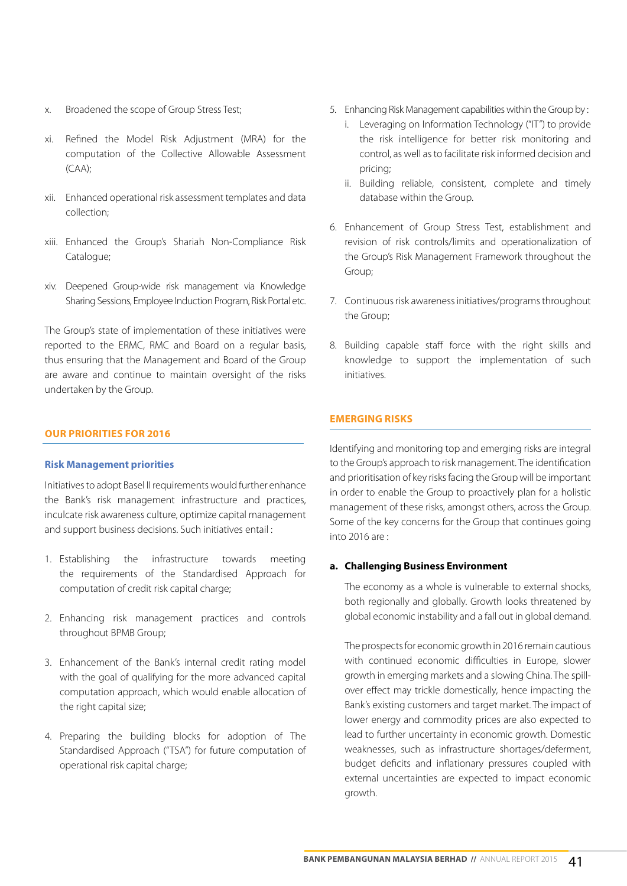- x. Broadened the scope of Group Stress Test;
- xi. Refined the Model Risk Adjustment (MRA) for the computation of the Collective Allowable Assessment (CAA);
- xii. Enhanced operational risk assessment templates and data collection;
- xiii. Enhanced the Group's Shariah Non-Compliance Risk Catalogue;
- xiv. Deepened Group-wide risk management via Knowledge Sharing Sessions, Employee Induction Program, Risk Portal etc.

The Group's state of implementation of these initiatives were reported to the ERMC, RMC and Board on a regular basis, thus ensuring that the Management and Board of the Group are aware and continue to maintain oversight of the risks undertaken by the Group.

## **OUR PRIORITIES FOR 2016**

#### **Risk Management priorities**

Initiatives to adopt Basel II requirements would further enhance the Bank's risk management infrastructure and practices, inculcate risk awareness culture, optimize capital management and support business decisions. Such initiatives entail :

- 1. Establishing the infrastructure towards meeting the requirements of the Standardised Approach for computation of credit risk capital charge;
- 2. Enhancing risk management practices and controls throughout BPMB Group;
- 3. Enhancement of the Bank's internal credit rating model with the goal of qualifying for the more advanced capital computation approach, which would enable allocation of the right capital size;
- 4. Preparing the building blocks for adoption of The Standardised Approach ("TSA") for future computation of operational risk capital charge;
- 5. Enhancing Risk Management capabilities within the Group by :
	- i. Leveraging on Information Technology ("IT") to provide the risk intelligence for better risk monitoring and control, as well as to facilitate risk informed decision and pricing;
	- ii. Building reliable, consistent, complete and timely database within the Group.
- 6. Enhancement of Group Stress Test, establishment and revision of risk controls/limits and operationalization of the Group's Risk Management Framework throughout the Group;
- 7. Continuous risk awareness initiatives/programs throughout the Group;
- 8. Building capable staff force with the right skills and knowledge to support the implementation of such initiatives.

# **EMERGING RISKS**

Identifying and monitoring top and emerging risks are integral to the Group's approach to risk management. The identification and prioritisation of key risks facing the Group will be important in order to enable the Group to proactively plan for a holistic management of these risks, amongst others, across the Group. Some of the key concerns for the Group that continues going into 2016 are :

## **a. Challenging Business Environment**

The economy as a whole is vulnerable to external shocks, both regionally and globally. Growth looks threatened by global economic instability and a fall out in global demand.

The prospects for economic growth in 2016 remain cautious with continued economic difficulties in Europe, slower growth in emerging markets and a slowing China. The spillover effect may trickle domestically, hence impacting the Bank's existing customers and target market. The impact of lower energy and commodity prices are also expected to lead to further uncertainty in economic growth. Domestic weaknesses, such as infrastructure shortages/deferment, budget deficits and inflationary pressures coupled with external uncertainties are expected to impact economic growth.